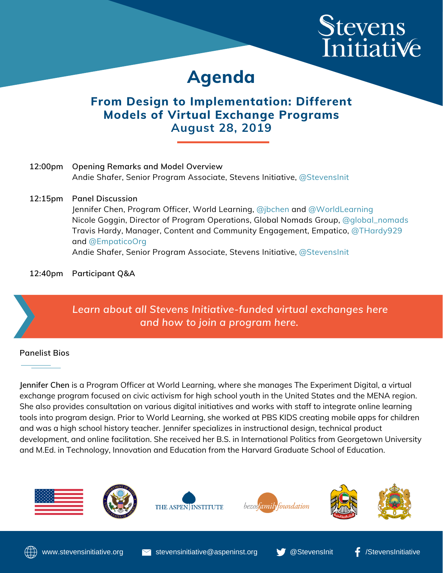# Stevens<br>Initiative

## **Agenda**

### **From Design to Implementation: Different Models of Virtual Exchange Programs August 28, 2019**

| 12:00pm | <b>Opening Remarks and Model Overview</b><br>Andie Shafer, Senior Program Associate, Stevens Initiative, @StevensInit                                                                                                                                                                                                                                                         |
|---------|-------------------------------------------------------------------------------------------------------------------------------------------------------------------------------------------------------------------------------------------------------------------------------------------------------------------------------------------------------------------------------|
|         | 12:15pm Panel Discussion<br>Jennifer Chen, Program Officer, World Learning, @jbchen and @WorldLearning<br>Nicole Goggin, Director of Program Operations, Global Nomads Group, @global_nomads<br>Travis Hardy, Manager, Content and Community Engagement, Empatico, @THardy929<br>and @EmpaticoOrg<br>Andie Shafer, Senior Program Associate, Stevens Initiative, @StevensInit |

**12:40pm Participant Q&A**



#### **Panelist Bios**

**Jennifer Chen** is a Program Officer at World Learning, where she manages The Experiment Digital, a virtual exchange program focused on civic activism for high school youth in the United States and the MENA region. She also provides consultation on various digital initiatives and works with staff to integrate online learning tools into program design. Prior to World Learning, she worked at PBS KIDS creating mobile apps for children and was a high school history teacher. Jennifer specializes in instructional design, technical product development, and online facilitation. She received her B.S. in International Politics from Georgetown University and M.Ed. in Technology, Innovation and Education from the Harvard Graduate School of Education.